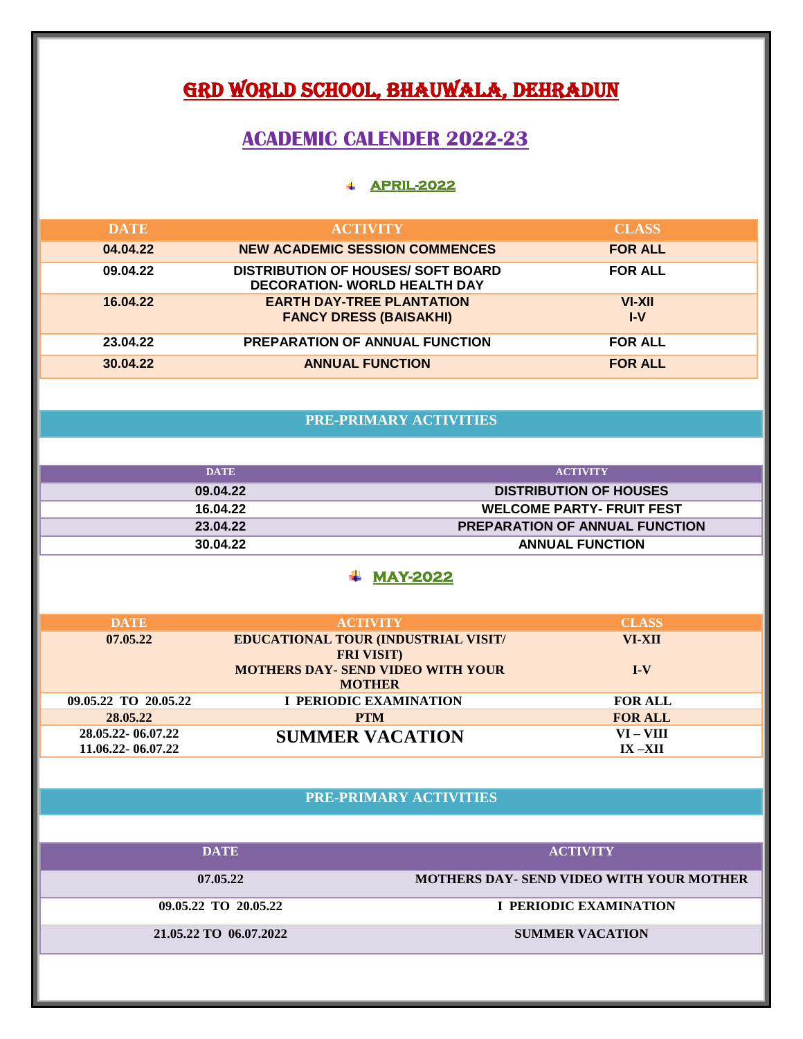# GRD WORLD SCHOOL, BHAUWALA, DEHRADUN

## **ACADEMIC CALENDER 2022-23**

## **APRIL-2022**

| <b>DATE</b> | <b>ACTIVITY</b>                                                                  | <b>CLASS</b>    |
|-------------|----------------------------------------------------------------------------------|-----------------|
| 04.04.22    | <b>NEW ACADEMIC SESSION COMMENCES</b>                                            | <b>FOR ALL</b>  |
| 09.04.22    | <b>DISTRIBUTION OF HOUSES/ SOFT BOARD</b><br><b>DECORATION- WORLD HEALTH DAY</b> | <b>FOR ALL</b>  |
| 16.04.22    | <b>EARTH DAY-TREE PLANTATION</b><br><b>FANCY DRESS (BAISAKHI)</b>                | VI-XII<br>$I-V$ |
| 23.04.22    | <b>PREPARATION OF ANNUAL FUNCTION</b>                                            | <b>FOR ALL</b>  |
| 30.04.22    | <b>ANNUAL FUNCTION</b>                                                           | <b>FOR ALL</b>  |

# **PRE-PRIMARY ACTIVITIES**

| DATE     | <b>ACTIVITY</b>                       |
|----------|---------------------------------------|
| 09.04.22 | <b>DISTRIBUTION OF HOUSES</b>         |
| 16.04.22 | <b>WELCOME PARTY- FRUIT FEST</b>      |
| 23.04.22 | <b>PREPARATION OF ANNUAL FUNCTION</b> |
| 30.04.22 | <b>ANNUAL FUNCTION</b>                |

#### **MAY-2022**

| <b>DATE</b>          | <b>ACTIVITY</b>                            | <b>CLASS</b>   |
|----------------------|--------------------------------------------|----------------|
| 07.05.22             | <b>EDUCATIONAL TOUR (INDUSTRIAL VISIT/</b> | VI-XII         |
|                      | <b>FRI VISIT)</b>                          |                |
|                      | <b>MOTHERS DAY- SEND VIDEO WITH YOUR</b>   | $I-V$          |
|                      | <b>MOTHER</b>                              |                |
| 09.05.22 TO 20.05.22 | <b>I PERIODIC EXAMINATION</b>              | <b>FOR ALL</b> |
| 28.05.22             | <b>PTM</b>                                 | <b>FOR ALL</b> |
| 28.05.22-06.07.22    | <b>SUMMER VACATION</b>                     | VI – VIII      |
| 11.06.22 - 06.07.22  |                                            | $IX - XII$     |

# **PRE-PRIMARY ACTIVITIES**

| <b>DATE</b>            | <b>ACTIVITY</b>                                 |
|------------------------|-------------------------------------------------|
|                        |                                                 |
| 07.05.22               | <b>MOTHERS DAY- SEND VIDEO WITH YOUR MOTHER</b> |
|                        |                                                 |
| 09.05.22 TO 20.05.22   | I PERIODIC EXAMINATION                          |
| 21.05.22 TO 06.07.2022 | <b>SUMMER VACATION</b>                          |
|                        |                                                 |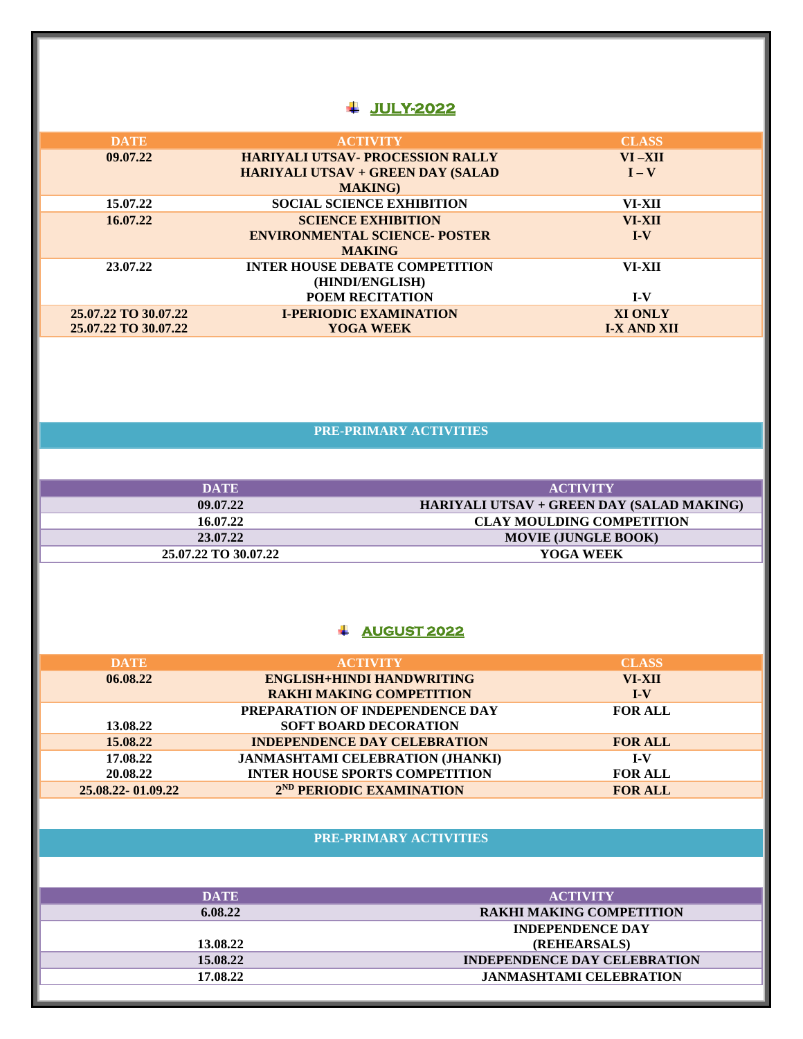## **JULY-2022**

| <b>DATE</b>          | <b>ACTIVITY</b>                          | <b>CLASS</b>       |
|----------------------|------------------------------------------|--------------------|
| 09.07.22             | <b>HARIYALI UTSAV- PROCESSION RALLY</b>  | $VI - XII$         |
|                      | <b>HARIYALI UTSAV + GREEN DAY (SALAD</b> | $I - V$            |
|                      | <b>MAKING</b> )                          |                    |
| 15.07.22             | <b>SOCIAL SCIENCE EXHIBITION</b>         | VI-XII             |
| 16.07.22             | <b>SCIENCE EXHIBITION</b>                | VI-XII             |
|                      | <b>ENVIRONMENTAL SCIENCE- POSTER</b>     | $I-V$              |
|                      | <b>MAKING</b>                            |                    |
| 23.07.22             | <b>INTER HOUSE DEBATE COMPETITION</b>    | VI-XII             |
|                      | (HINDI/ENGLISH)                          |                    |
|                      | <b>POEM RECITATION</b>                   | $I-V$              |
| 25.07.22 TO 30.07.22 | <b>I-PERIODIC EXAMINATION</b>            | <b>XI ONLY</b>     |
| 25.07.22 TO 30.07.22 | <b>YOGA WEEK</b>                         | <b>I-X AND XII</b> |
|                      |                                          |                    |

# **PRE-PRIMARY ACTIVITIES**

| <b>DATE</b>          | <b>ACTIVITY</b>                           |
|----------------------|-------------------------------------------|
| 09.07.22             | HARIYALI UTSAV + GREEN DAY (SALAD MAKING) |
| 16.07.22             | <b>CLAY MOULDING COMPETITION</b>          |
| 23.07.22             | <b>MOVIE (JUNGLE BOOK)</b>                |
| 25.07.22 TO 30.07.22 | YOGA WEEK                                 |

## **AUGUST 2022**

| <b>DATE</b>         | <b>ACTIVITY</b>                         | <b>CLASS</b>   |
|---------------------|-----------------------------------------|----------------|
| 06.08.22            | <b>ENGLISH+HINDI HANDWRITING</b>        | VI-XII         |
|                     | <b>RAKHI MAKING COMPETITION</b>         | $I-V$          |
|                     | PREPARATION OF INDEPENDENCE DAY         | <b>FOR ALL</b> |
| 13.08.22            | <b>SOFT BOARD DECORATION</b>            |                |
| 15.08.22            | <b>INDEPENDENCE DAY CELEBRATION</b>     | <b>FOR ALL</b> |
| 17.08.22            | <b>JANMASHTAMI CELEBRATION (JHANKI)</b> | $I-V$          |
| 20.08.22            | <b>INTER HOUSE SPORTS COMPETITION</b>   | <b>FOR ALL</b> |
| 25.08.22 - 01.09.22 | 2 <sup>ND</sup> PERIODIC EXAMINATION    | <b>FOR ALL</b> |

## **PRE-PRIMARY ACTIVITIES**

| <b>DATE</b> | <b>ACTIVITY</b>                     |
|-------------|-------------------------------------|
| 6.08.22     | <b>RAKHI MAKING COMPETITION</b>     |
|             | <b>INDEPENDENCE DAY</b>             |
| 13.08.22    | (REHEARSALS)                        |
| 15.08.22    | <b>INDEPENDENCE DAY CELEBRATION</b> |
| 17.08.22    | <b>JANMASHTAMI CELEBRATION</b>      |
|             |                                     |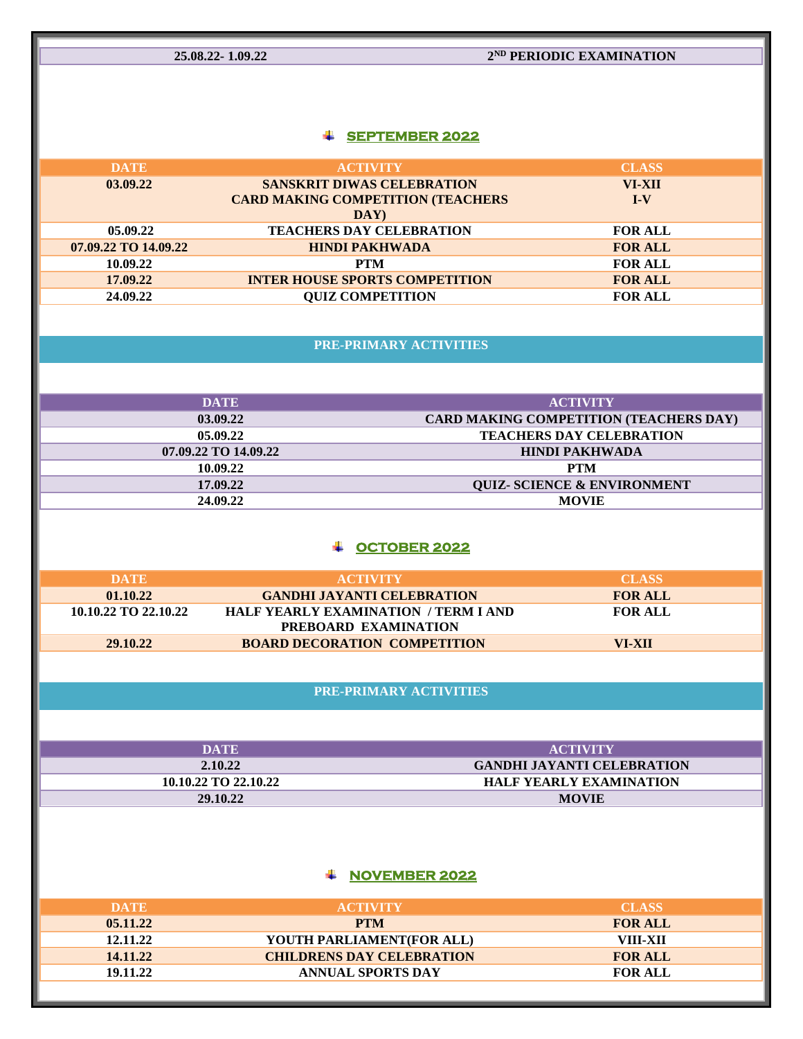**25.08.22- 1.09.22 2**

# **2<sup>ND</sup> PERIODIC EXAMINATION**

## **SEPTEMBER 2022**

| <b>DATE</b>          | <b>ACTIVITY</b>                           | <b>CLASS</b>   |
|----------------------|-------------------------------------------|----------------|
| 03.09.22             | <b>SANSKRIT DIWAS CELEBRATION</b>         | VI-XII         |
|                      | <b>CARD MAKING COMPETITION (TEACHERS)</b> | $I-V$          |
|                      | DAY                                       |                |
| 05.09.22             | <b>TEACHERS DAY CELEBRATION</b>           | <b>FOR ALL</b> |
| 07.09.22 TO 14.09.22 | <b>HINDI PAKHWADA</b>                     | <b>FOR ALL</b> |
| 10.09.22             | <b>PTM</b>                                | <b>FOR ALL</b> |
| 17.09.22             | <b>INTER HOUSE SPORTS COMPETITION</b>     | <b>FOR ALL</b> |
| 24.09.22             | <b>QUIZ COMPETITION</b>                   | <b>FOR ALL</b> |
|                      |                                           |                |

**PRE-PRIMARY ACTIVITIES**

| <b>DATE</b>          | <b>ACTIVITY</b>                               |
|----------------------|-----------------------------------------------|
| 03.09.22             | <b>CARD MAKING COMPETITION (TEACHERS DAY)</b> |
| 05.09.22             | <b>TEACHERS DAY CELEBRATION</b>               |
| 07.09.22 TO 14.09.22 | <b>HINDI PAKHWADA</b>                         |
| 10.09.22             | <b>PTM</b>                                    |
| 17.09.22             | <b>QUIZ- SCIENCE &amp; ENVIRONMENT</b>        |
| 24.09.22             | <b>MOVIE</b>                                  |

### **OCTOBER 2022**

| <b>DATE</b>          | <b>ACTIVITY</b>                             | <b>CLASS</b>   |
|----------------------|---------------------------------------------|----------------|
| 01.10.22             | <b>GANDHI JAYANTI CELEBRATION</b>           | <b>FOR ALL</b> |
| 10.10.22 TO 22.10.22 | <b>HALF YEARLY EXAMINATION / TERM I AND</b> | <b>FOR ALL</b> |
|                      | PREBOARD EXAMINATION                        |                |
| 29.10.22             | <b>BOARD DECORATION COMPETITION</b>         | VI-XII         |
|                      |                                             |                |

### **PRE-PRIMARY ACTIVITIES**

| DATE                 | <b>ACTIVITY</b>                   |
|----------------------|-----------------------------------|
| 2.10.22              | <b>GANDHI JAYANTI CELEBRATION</b> |
| 10.10.22 TO 22.10.22 | <b>HALF YEARLY EXAMINATION</b>    |
| 29.10.22             | <b>MOVIE</b>                      |

## **NOVEMBER 2022**

| DATE     | <b>ACTIVITY</b>                  | <b>CLASS</b>   |
|----------|----------------------------------|----------------|
| 05.11.22 | <b>PTM</b>                       | <b>FOR ALL</b> |
| 12.11.22 | YOUTH PARLIAMENT(FOR ALL)        | VIII-XII       |
| 14.11.22 | <b>CHILDRENS DAY CELEBRATION</b> | <b>FOR ALL</b> |
| 19.11.22 | <b>ANNUAL SPORTS DAY</b>         | <b>FOR ALL</b> |
|          |                                  |                |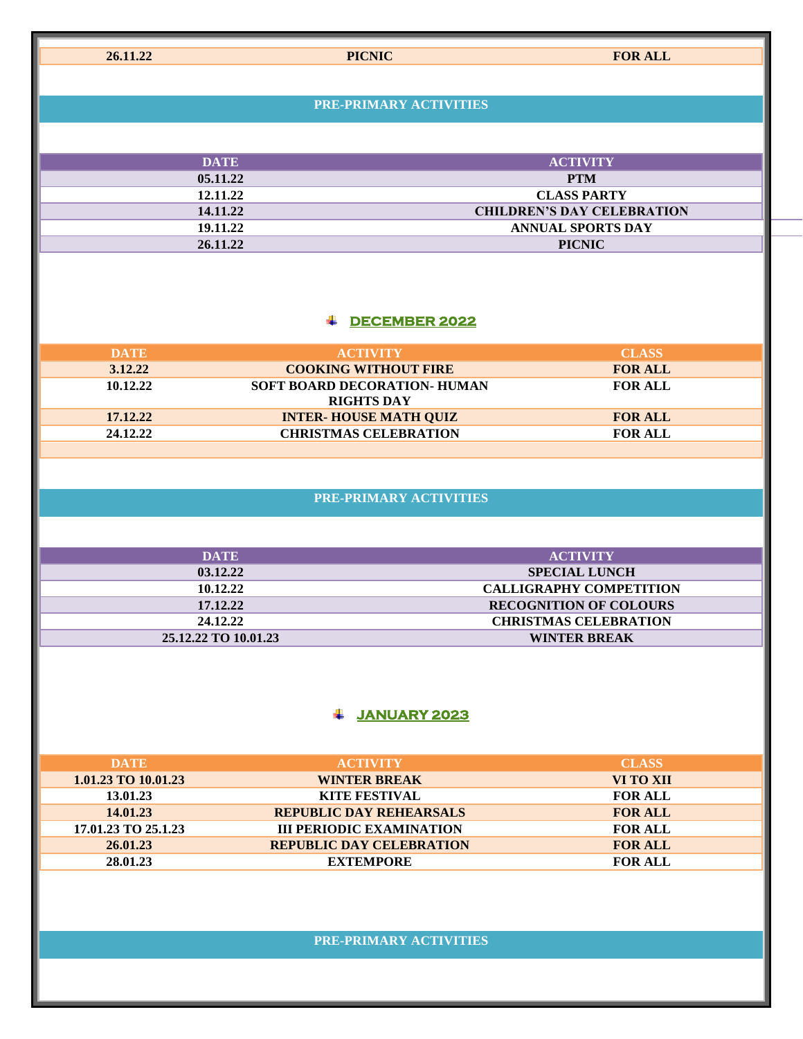**26.11.22 PICNIC FOR ALL**

#### **PRE-PRIMARY ACTIVITIES**

| <b>DATE</b> | <b>ACTIVITY</b>                   |
|-------------|-----------------------------------|
| 05.11.22    | <b>PTM</b>                        |
| 12.11.22    | <b>CLASS PARTY</b>                |
| 14.11.22    | <b>CHILDREN'S DAY CELEBRATION</b> |
| 19.11.22    | <b>ANNUAL SPORTS DAY</b>          |
| 26.11.22    | <b>PICNIC</b>                     |

## **DECEMBER 2022**

| <b>DATE</b> | <b>ACTIVITY</b>              | <b>CLASS</b>   |
|-------------|------------------------------|----------------|
| 3.12.22     | <b>COOKING WITHOUT FIRE</b>  | <b>FOR ALL</b> |
| 10.12.22    | SOFT BOARD DECORATION- HUMAN | <b>FOR ALL</b> |
|             | <b>RIGHTS DAY</b>            |                |
| 17.12.22    | <b>INTER-HOUSE MATH QUIZ</b> | <b>FOR ALL</b> |
| 24.12.22    | <b>CHRISTMAS CELEBRATION</b> | <b>FOR ALL</b> |
|             |                              |                |

## **PRE-PRIMARY ACTIVITIES**

| <b>DATE</b>          | <b>ACTIVITY</b>                |
|----------------------|--------------------------------|
| 03.12.22             | <b>SPECIAL LUNCH</b>           |
| 10.12.22             | <b>CALLIGRAPHY COMPETITION</b> |
| 17.12.22             | <b>RECOGNITION OF COLOURS</b>  |
| 24.12.22             | <b>CHRISTMAS CELEBRATION</b>   |
| 25.12.22 TO 10.01.23 | <b>WINTER BREAK</b>            |

# **JANUARY 2023**

| <b>DATE</b>         | <b>ACTIVITY</b>                 | <b>CLASS</b>   |
|---------------------|---------------------------------|----------------|
| 1.01.23 TO 10.01.23 | <b>WINTER BREAK</b>             | VI TO XII      |
| 13.01.23            | <b>KITE FESTIVAL</b>            | <b>FOR ALL</b> |
| 14.01.23            | <b>REPUBLIC DAY REHEARSALS</b>  | <b>FOR ALL</b> |
| 17.01.23 TO 25.1.23 | <b>III PERIODIC EXAMINATION</b> | <b>FOR ALL</b> |
| 26.01.23            | <b>REPUBLIC DAY CELEBRATION</b> | <b>FOR ALL</b> |
| 28.01.23            | <b>EXTEMPORE</b>                | <b>FOR ALL</b> |

## **PRE-PRIMARY ACTIVITIES**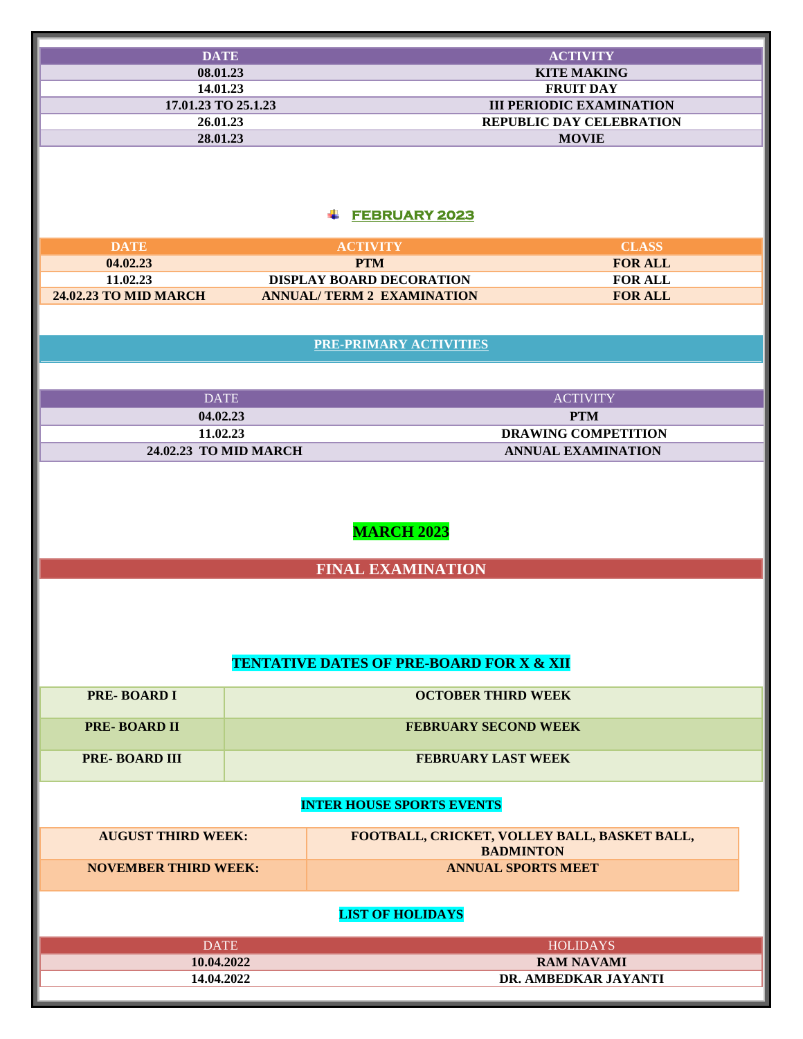| <b>DATE</b>                       |                                                     | <b>ACTIVITY</b>                              |  |
|-----------------------------------|-----------------------------------------------------|----------------------------------------------|--|
| 08.01.23                          |                                                     | <b>KITE MAKING</b>                           |  |
| 14.01.23                          |                                                     | <b>FRUIT DAY</b>                             |  |
| 17.01.23 TO 25.1.23               |                                                     | <b>III PERIODIC EXAMINATION</b>              |  |
| 26.01.23                          |                                                     | <b>REPUBLIC DAY CELEBRATION</b>              |  |
| 28.01.23                          |                                                     | <b>MOVIE</b>                                 |  |
|                                   |                                                     |                                              |  |
|                                   |                                                     |                                              |  |
|                                   |                                                     |                                              |  |
|                                   |                                                     |                                              |  |
|                                   | <b>FEBRUARY 2023</b><br>₩.                          |                                              |  |
|                                   |                                                     |                                              |  |
| <b>DATE</b>                       | <b>ACTIVITY</b>                                     | <b>CLASS</b>                                 |  |
| 04.02.23                          | <b>PTM</b>                                          | <b>FOR ALL</b>                               |  |
| 11.02.23                          | <b>DISPLAY BOARD DECORATION</b>                     | <b>FOR ALL</b>                               |  |
| <b>24.02.23 TO MID MARCH</b>      | <b>ANNUAL/TERM 2 EXAMINATION</b>                    | <b>FOR ALL</b>                               |  |
|                                   |                                                     |                                              |  |
|                                   |                                                     |                                              |  |
|                                   | <b>PRE-PRIMARY ACTIVITIES</b>                       |                                              |  |
|                                   |                                                     |                                              |  |
|                                   |                                                     |                                              |  |
| <b>DATE</b>                       |                                                     | <b>ACTIVITY</b>                              |  |
| 04.02.23                          |                                                     | <b>PTM</b>                                   |  |
|                                   |                                                     | <b>DRAWING COMPETITION</b>                   |  |
| 11.02.23<br>24.02.23 TO MID MARCH |                                                     | <b>ANNUAL EXAMINATION</b>                    |  |
|                                   |                                                     |                                              |  |
|                                   |                                                     |                                              |  |
|                                   |                                                     |                                              |  |
|                                   |                                                     |                                              |  |
|                                   | <b>MARCH 2023</b>                                   |                                              |  |
|                                   |                                                     |                                              |  |
|                                   |                                                     |                                              |  |
|                                   | <b>FINAL EXAMINATION</b>                            |                                              |  |
|                                   |                                                     |                                              |  |
|                                   |                                                     |                                              |  |
|                                   |                                                     |                                              |  |
|                                   |                                                     |                                              |  |
|                                   |                                                     |                                              |  |
|                                   | <b>TENTATIVE DATES OF PRE-BOARD FOR X &amp; XII</b> |                                              |  |
| <b>PRE-BOARD I</b>                |                                                     | <b>OCTOBER THIRD WEEK</b>                    |  |
|                                   |                                                     |                                              |  |
| <b>PRE-BOARD II</b>               |                                                     |                                              |  |
|                                   | <b>FEBRUARY SECOND WEEK</b>                         |                                              |  |
| <b>PRE-BOARD III</b>              |                                                     | <b>FEBRUARY LAST WEEK</b>                    |  |
|                                   |                                                     |                                              |  |
|                                   |                                                     |                                              |  |
|                                   | <b>INTER HOUSE SPORTS EVENTS</b>                    |                                              |  |
|                                   |                                                     |                                              |  |
| <b>AUGUST THIRD WEEK:</b>         |                                                     | FOOTBALL, CRICKET, VOLLEY BALL, BASKET BALL, |  |
|                                   |                                                     | <b>BADMINTON</b>                             |  |
| <b>NOVEMBER THIRD WEEK:</b>       |                                                     | <b>ANNUAL SPORTS MEET</b>                    |  |
|                                   |                                                     |                                              |  |
|                                   |                                                     |                                              |  |
| <b>LIST OF HOLIDAYS</b>           |                                                     |                                              |  |
|                                   |                                                     |                                              |  |
| <b>DATE</b>                       |                                                     | <b>HOLIDAYS</b>                              |  |
| 10.04.2022                        |                                                     | <b>RAM NAVAMI</b>                            |  |
| 14.04.2022                        |                                                     | DR. AMBEDKAR JAYANTI                         |  |
|                                   |                                                     |                                              |  |